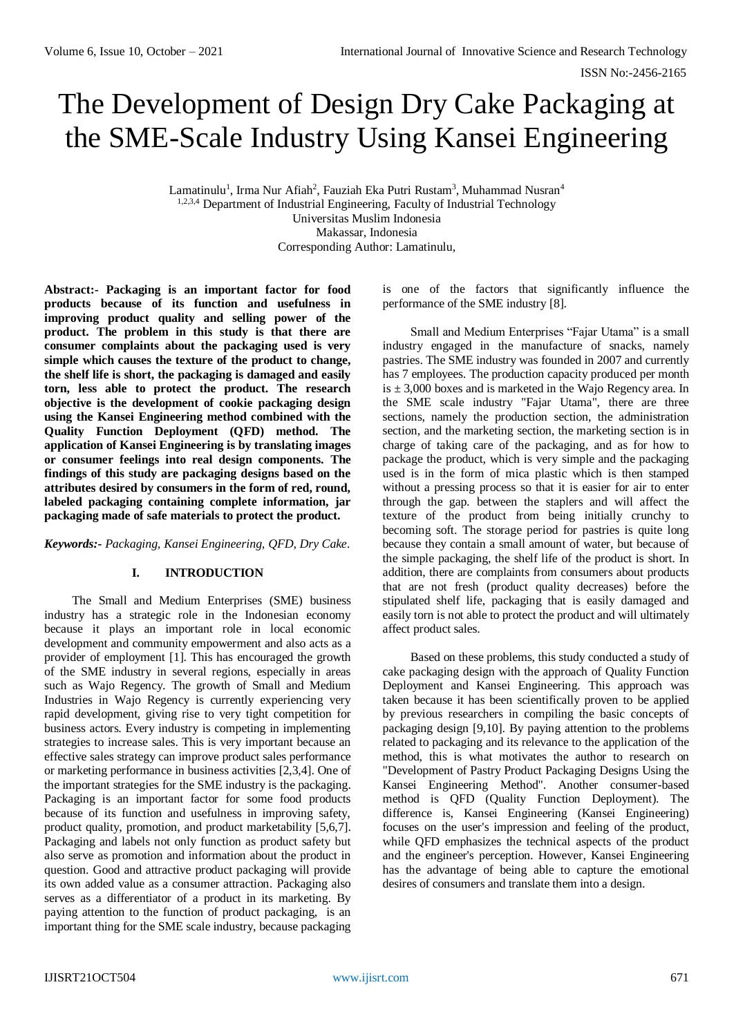# The Development of Design Dry Cake Packaging at the SME-Scale Industry Using Kansei Engineering

Lamatinulu<sup>1</sup>, Irma Nur Afiah<sup>2</sup>, Fauziah Eka Putri Rustam<sup>3</sup>, Muhammad Nusran<sup>4</sup> 1,2,3,4 Department of Industrial Engineering, Faculty of Industrial Technology Universitas Muslim Indonesia Makassar, Indonesia Corresponding Author: Lamatinulu,

**Abstract:- Packaging is an important factor for food products because of its function and usefulness in improving product quality and selling power of the product. The problem in this study is that there are consumer complaints about the packaging used is very simple which causes the texture of the product to change, the shelf life is short, the packaging is damaged and easily torn, less able to protect the product. The research objective is the development of cookie packaging design using the Kansei Engineering method combined with the Quality Function Deployment (QFD) method. The application of Kansei Engineering is by translating images or consumer feelings into real design components. The findings of this study are packaging designs based on the attributes desired by consumers in the form of red, round, labeled packaging containing complete information, jar packaging made of safe materials to protect the product.** 

*Keywords:- Packaging, Kansei Engineering, QFD, Dry Cake.*

# **I. INTRODUCTION**

The Small and Medium Enterprises (SME) business industry has a strategic role in the Indonesian economy because it plays an important role in local economic development and community empowerment and also acts as a provider of employment [1]. This has encouraged the growth of the SME industry in several regions, especially in areas such as Wajo Regency. The growth of Small and Medium Industries in Wajo Regency is currently experiencing very rapid development, giving rise to very tight competition for business actors. Every industry is competing in implementing strategies to increase sales. This is very important because an effective sales strategy can improve product sales performance or marketing performance in business activities [2,3,4]. One of the important strategies for the SME industry is the packaging. Packaging is an important factor for some food products because of its function and usefulness in improving safety, product quality, promotion, and product marketability [5,6,7]. Packaging and labels not only function as product safety but also serve as promotion and information about the product in question. Good and attractive product packaging will provide its own added value as a consumer attraction. Packaging also serves as a differentiator of a product in its marketing. By paying attention to the function of product packaging, is an important thing for the SME scale industry, because packaging

is one of the factors that significantly influence the performance of the SME industry [8].

Small and Medium Enterprises "Fajar Utama" is a small industry engaged in the manufacture of snacks, namely pastries. The SME industry was founded in 2007 and currently has 7 employees. The production capacity produced per month is  $\pm$  3,000 boxes and is marketed in the Wajo Regency area. In the SME scale industry "Fajar Utama", there are three sections, namely the production section, the administration section, and the marketing section, the marketing section is in charge of taking care of the packaging, and as for how to package the product, which is very simple and the packaging used is in the form of mica plastic which is then stamped without a pressing process so that it is easier for air to enter through the gap. between the staplers and will affect the texture of the product from being initially crunchy to becoming soft. The storage period for pastries is quite long because they contain a small amount of water, but because of the simple packaging, the shelf life of the product is short. In addition, there are complaints from consumers about products that are not fresh (product quality decreases) before the stipulated shelf life, packaging that is easily damaged and easily torn is not able to protect the product and will ultimately affect product sales.

Based on these problems, this study conducted a study of cake packaging design with the approach of Quality Function Deployment and Kansei Engineering. This approach was taken because it has been scientifically proven to be applied by previous researchers in compiling the basic concepts of packaging design [9,10]. By paying attention to the problems related to packaging and its relevance to the application of the method, this is what motivates the author to research on "Development of Pastry Product Packaging Designs Using the Kansei Engineering Method". Another consumer-based method is QFD (Quality Function Deployment). The difference is, Kansei Engineering (Kansei Engineering) focuses on the user's impression and feeling of the product, while QFD emphasizes the technical aspects of the product and the engineer's perception. However, Kansei Engineering has the advantage of being able to capture the emotional desires of consumers and translate them into a design.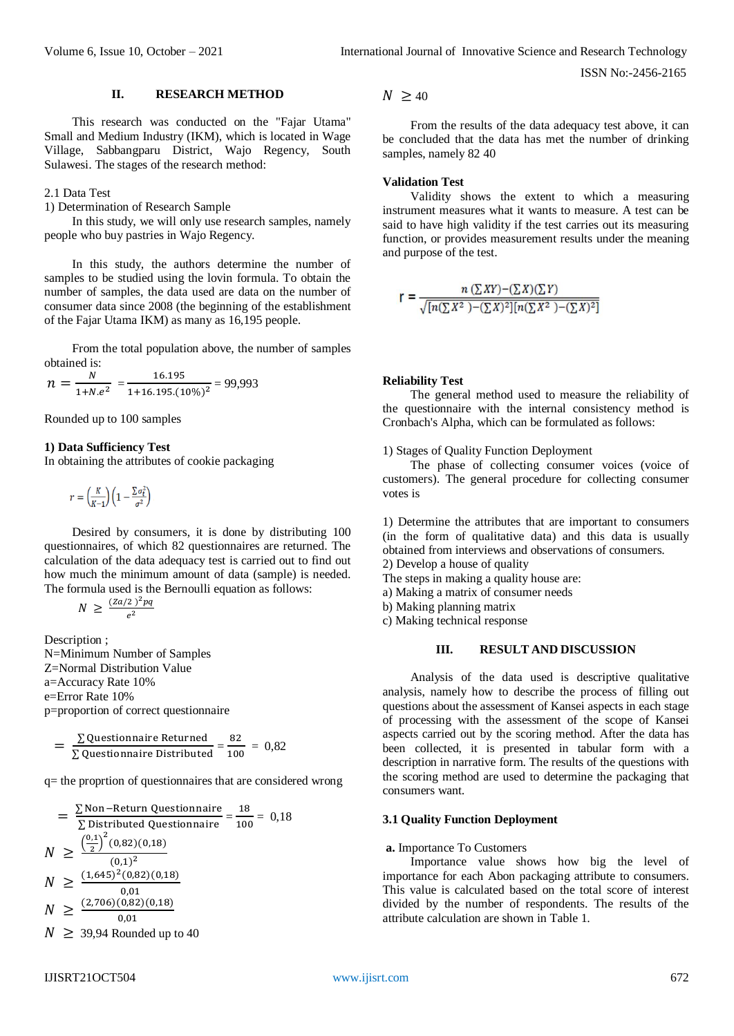ISSN No:-2456-2165

#### **II. RESEARCH METHOD**

This research was conducted on the "Fajar Utama" Small and Medium Industry (IKM), which is located in Wage Village, Sabbangparu District, Wajo Regency, South Sulawesi. The stages of the research method:

#### 2.1 Data Test

1) Determination of Research Sample

In this study, we will only use research samples, namely people who buy pastries in Wajo Regency.

In this study, the authors determine the number of samples to be studied using the lovin formula. To obtain the number of samples, the data used are data on the number of consumer data since 2008 (the beginning of the establishment of the Fajar Utama IKM) as many as 16,195 people.

From the total population above, the number of samples obtained is:

$$
n = \frac{N}{1 + N e^2} = \frac{16.195}{1 + 16.195.(10\%)^2} = 99,993
$$

Rounded up to 100 samples

## **1) Data Sufficiency Test**

In obtaining the attributes of cookie packaging

$$
r = \left(\frac{K}{K-1}\right) \left(1 - \frac{\sum \sigma_t^2}{\sigma^2}\right)
$$

Desired by consumers, it is done by distributing 100 questionnaires, of which 82 questionnaires are returned. The calculation of the data adequacy test is carried out to find out how much the minimum amount of data (sample) is needed. The formula used is the Bernoulli equation as follows:

$$
N \geq \frac{(Z\alpha/2)^2pq}{e^2}
$$

Description ; N=Minimum Number of Samples Z=Normal Distribution Value a=Accuracy Rate 10% e=Error Rate 10%

p=proportion of correct questionnaire

$$
= \frac{\sum \text{Questionnaire Returned}}{\sum \text{Questionnaire Distributed}} = \frac{82}{100} = 0,82
$$

q= the proprtion of questionnaires that are considered wrong

$$
= \frac{\sum \text{Non-Return Questionnaire}}{\sum \text{Distributed Questionnaire}} = \frac{18}{100} = 0,18
$$
  

$$
N \ge \frac{\left(\frac{0.1}{2}\right)^2 (0.82)(0.18)}{(0.1)^2}
$$
  

$$
N \ge \frac{(1.645)^2 (0.82)(0.18)}{0.01}
$$
  

$$
N \ge \frac{(2.706)(0.82)(0.18)}{0.01}
$$
  

$$
N \ge 39,94 \text{ Rounded up to } 40
$$

IJISRT21OCT504 [www.ijisrt.com](http://www.ijisrt.com/) 672

 $N \geq 40$ 

From the results of the data adequacy test above, it can be concluded that the data has met the number of drinking samples, namely 82 40

# **Validation Test**

Validity shows the extent to which a measuring instrument measures what it wants to measure. A test can be said to have high validity if the test carries out its measuring function, or provides measurement results under the meaning and purpose of the test.

$$
r = \frac{n \left(\sum XY\right) - \left(\sum X\right)\left(\sum Y\right)}{\sqrt{[n\left(\sum X^2\right) - \left(\sum X\right)^2][n\left(\sum X^2\right) - \left(\sum X\right)^2]}}
$$

#### **Reliability Test**

The general method used to measure the reliability of the questionnaire with the internal consistency method is Cronbach's Alpha, which can be formulated as follows:

# 1) Stages of Quality Function Deployment

The phase of collecting consumer voices (voice of customers). The general procedure for collecting consumer votes is

1) Determine the attributes that are important to consumers (in the form of qualitative data) and this data is usually obtained from interviews and observations of consumers. 2) Develop a house of quality

The steps in making a quality house are:

a) Making a matrix of consumer needs

- b) Making planning matrix
- c) Making technical response

#### **III. RESULT AND DISCUSSION**

Analysis of the data used is descriptive qualitative analysis, namely how to describe the process of filling out questions about the assessment of Kansei aspects in each stage of processing with the assessment of the scope of Kansei aspects carried out by the scoring method. After the data has been collected, it is presented in tabular form with a description in narrative form. The results of the questions with the scoring method are used to determine the packaging that consumers want.

# **3.1 Quality Function Deployment**

#### **a.** Importance To Customers

Importance value shows how big the level of importance for each Abon packaging attribute to consumers. This value is calculated based on the total score of interest divided by the number of respondents. The results of the attribute calculation are shown in Table 1.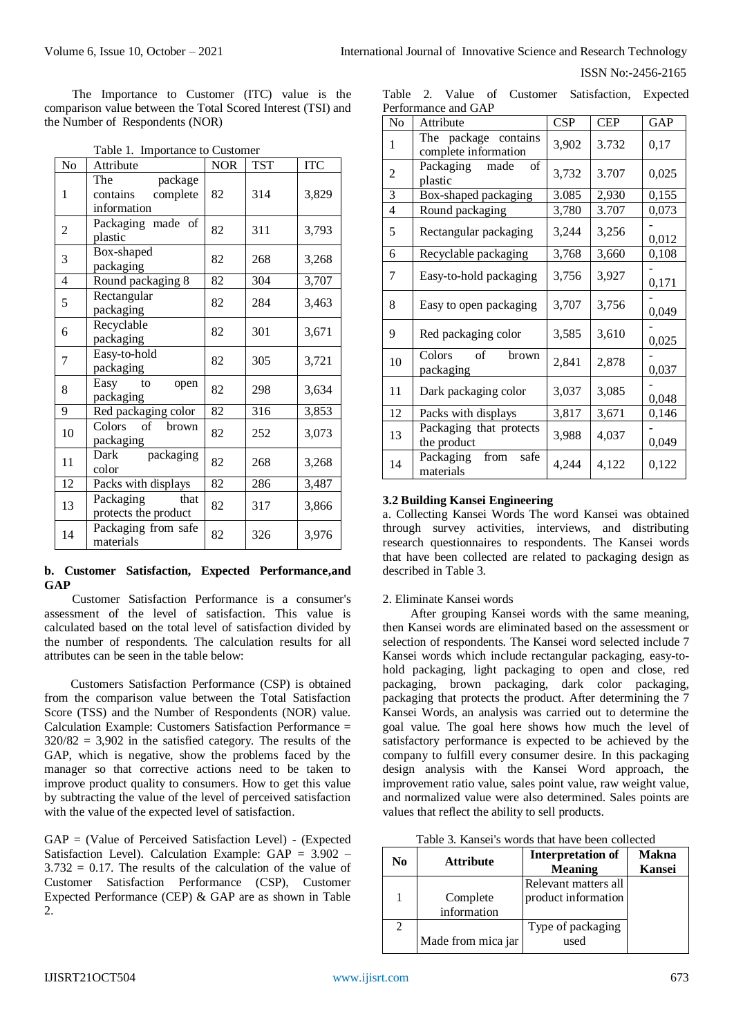ISSN No:-2456-2165

The Importance to Customer (ITC) value is the comparison value between the Total Scored Interest (TSI) and the Number of Respondents (NOR)

| No             | Attribute                                             | <b>NOR</b> | <b>TST</b> | <b>ITC</b> |
|----------------|-------------------------------------------------------|------------|------------|------------|
| 1              | The<br>package<br>contains<br>complete<br>information | 82         | 314        | 3,829      |
| $\overline{c}$ | Packaging made of<br>plastic                          | 82         | 311        | 3,793      |
| 3              | Box-shaped<br>packaging                               | 82         | 268        | 3,268      |
| 4              | Round packaging 8                                     | 82         | 304        | 3,707      |
| 5              | Rectangular<br>packaging                              | 82         | 284        | 3,463      |
| 6              | Recyclable<br>packaging                               | 82         | 301        | 3,671      |
| 7              | Easy-to-hold<br>packaging                             | 82         | 305        | 3,721      |
| 8              | Easy<br>to<br>open<br>packaging                       | 82         | 298        | 3,634      |
| 9              | Red packaging color                                   | 82         | 316        | 3,853      |
| 10             | Colors of brown<br>packaging                          | 82         | 252        | 3,073      |
| 11             | packaging<br>Dark<br>color                            | 82         | 268        | 3,268      |
| 12             | Packs with displays                                   | 82         | 286        | 3,487      |
| 13             | Packaging<br>that<br>protects the product             | 82         | 317        | 3,866      |
| 14             | Packaging from safe<br>materials                      | 82         | 326        | 3,976      |

Table 1. Importance to Customer

## **b. Customer Satisfaction, Expected Performance,and GAP**

Customer Satisfaction Performance is a consumer's assessment of the level of satisfaction. This value is calculated based on the total level of satisfaction divided by the number of respondents. The calculation results for all attributes can be seen in the table below:

Customers Satisfaction Performance (CSP) is obtained from the comparison value between the Total Satisfaction Score (TSS) and the Number of Respondents (NOR) value. Calculation Example: Customers Satisfaction Performance =  $320/82 = 3,902$  in the satisfied category. The results of the GAP, which is negative, show the problems faced by the manager so that corrective actions need to be taken to improve product quality to consumers. How to get this value by subtracting the value of the level of perceived satisfaction with the value of the expected level of satisfaction.

GAP = (Value of Perceived Satisfaction Level) - (Expected Satisfaction Level). Calculation Example:  $GAP = 3.902 3.732 = 0.17$ . The results of the calculation of the value of Customer Satisfaction Performance (CSP), Customer Expected Performance (CEP) & GAP are as shown in Table 2.

|  |                     |  | Table 2. Value of Customer Satisfaction, Expected |  |
|--|---------------------|--|---------------------------------------------------|--|
|  | Performance and GAP |  |                                                   |  |

| No | Attribute                                    | <b>CSP</b> | <b>CEP</b> | GAP   |
|----|----------------------------------------------|------------|------------|-------|
| 1  | The package contains<br>complete information | 3,902      | 3.732      | 0,17  |
| 2  | Packaging<br>made<br>of<br>plastic           | 3,732      | 3.707      | 0,025 |
| 3  | Box-shaped packaging                         | 3.085      | 2,930      | 0,155 |
| 4  | Round packaging                              | 3,780      | 3.707      | 0,073 |
| 5  | Rectangular packaging                        | 3,244      | 3,256      | 0,012 |
| 6  | Recyclable packaging                         | 3,768      | 3,660      | 0,108 |
| 7  | Easy-to-hold packaging                       | 3,756      | 3,927      | 0,171 |
| 8  | Easy to open packaging                       | 3,707      | 3,756      | 0,049 |
| 9  | Red packaging color                          | 3,585      | 3,610      | 0,025 |
| 10 | of<br>Colors<br>brown<br>packaging           | 2,841      | 2,878      | 0,037 |
| 11 | Dark packaging color                         | 3,037      | 3,085      | 0,048 |
| 12 | Packs with displays                          | 3,817      | 3,671      | 0,146 |
| 13 | Packaging that protects<br>the product       | 3,988      | 4,037      | 0,049 |
| 14 | from<br>Packaging<br>safe<br>materials       | 4,244      | 4,122      | 0,122 |

## **3.2 Building Kansei Engineering**

a. Collecting Kansei Words The word Kansei was obtained through survey activities, interviews, and distributing research questionnaires to respondents. The Kansei words that have been collected are related to packaging design as described in Table 3.

## 2. Eliminate Kansei words

After grouping Kansei words with the same meaning, then Kansei words are eliminated based on the assessment or selection of respondents. The Kansei word selected include 7 Kansei words which include rectangular packaging, easy-tohold packaging, light packaging to open and close, red packaging, brown packaging, dark color packaging, packaging that protects the product. After determining the 7 Kansei Words, an analysis was carried out to determine the goal value. The goal here shows how much the level of satisfactory performance is expected to be achieved by the company to fulfill every consumer desire. In this packaging design analysis with the Kansei Word approach, the improvement ratio value, sales point value, raw weight value, and normalized value were also determined. Sales points are values that reflect the ability to sell products.

Table 3. Kansei's words that have been collected

| No | <b>Attribute</b>        | <b>Interpretation of</b><br><b>Meaning</b> | <b>Makna</b><br><b>Kansei</b> |
|----|-------------------------|--------------------------------------------|-------------------------------|
| 1  |                         | Relevant matters all                       |                               |
|    | Complete<br>information | product information                        |                               |
| 2  |                         | Type of packaging                          |                               |
|    | Made from mica jar      | used                                       |                               |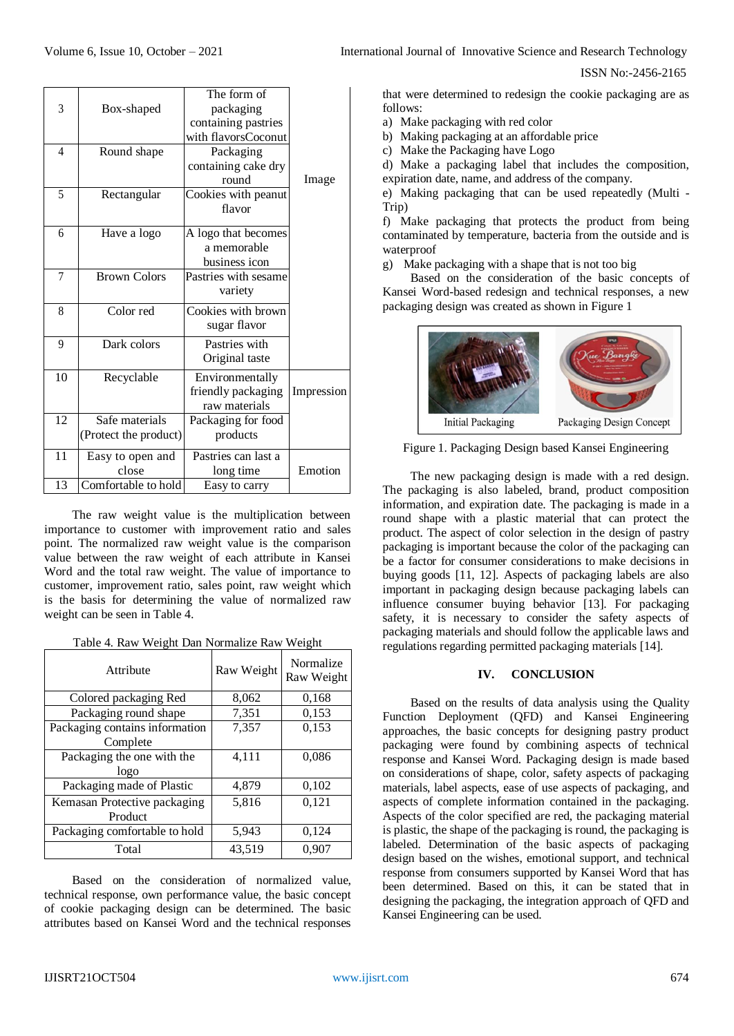|                |                       | The form of          |            |
|----------------|-----------------------|----------------------|------------|
| 3              | Box-shaped            | packaging            |            |
|                |                       | containing pastries  |            |
|                |                       | with flavorsCoconut  |            |
| $\overline{4}$ | Round shape           | Packaging            |            |
|                |                       | containing cake dry  |            |
|                |                       | round                | Image      |
| 5              | Rectangular           | Cookies with peanut  |            |
|                |                       | flavor               |            |
| 6              | Have a logo           | A logo that becomes  |            |
|                |                       | a memorable          |            |
|                |                       | business icon        |            |
| 7              | <b>Brown Colors</b>   | Pastries with sesame |            |
|                |                       | variety              |            |
| 8              | Color red             | Cookies with brown   |            |
|                |                       | sugar flavor         |            |
| 9              | Dark colors           | Pastries with        |            |
|                |                       | Original taste       |            |
| 10             | Recyclable            | Environmentally      |            |
|                |                       | friendly packaging   | Impression |
|                |                       | raw materials        |            |
| 12             | Safe materials        | Packaging for food   |            |
|                | (Protect the product) | products             |            |
| 11             | Easy to open and      | Pastries can last a  |            |
|                | close                 | long time            | Emotion    |
| 13             | Comfortable to hold   | Easy to carry        |            |

The raw weight value is the multiplication between importance to customer with improvement ratio and sales point. The normalized raw weight value is the comparison value between the raw weight of each attribute in Kansei Word and the total raw weight. The value of importance to customer, improvement ratio, sales point, raw weight which is the basis for determining the value of normalized raw weight can be seen in Table 4.

|  |  | Table 4. Raw Weight Dan Normalize Raw Weight |  |
|--|--|----------------------------------------------|--|
|  |  |                                              |  |

| Attribute                      | Raw Weight | Normalize<br>Raw Weight |
|--------------------------------|------------|-------------------------|
| Colored packaging Red          | 8,062      | 0,168                   |
| Packaging round shape          | 7,351      | 0,153                   |
| Packaging contains information | 7,357      | 0,153                   |
| Complete                       |            |                         |
| Packaging the one with the     | 4,111      | 0,086                   |
| logo                           |            |                         |
| Packaging made of Plastic      | 4,879      | 0,102                   |
| Kemasan Protective packaging   | 5,816      | 0,121                   |
| Product                        |            |                         |
| Packaging comfortable to hold  | 5,943      | 0,124                   |
| Total                          | 43,519     | 0,907                   |

Based on the consideration of normalized value, technical response, own performance value, the basic concept of cookie packaging design can be determined. The basic attributes based on Kansei Word and the technical responses

ISSN No:-2456-2165

that were determined to redesign the cookie packaging are as follows:

a) Make packaging with red color

b) Making packaging at an affordable price

c) Make the Packaging have Logo

d) Make a packaging label that includes the composition, expiration date, name, and address of the company.

e) Making packaging that can be used repeatedly (Multi - Trip)

f) Make packaging that protects the product from being contaminated by temperature, bacteria from the outside and is waterproof

g) Make packaging with a shape that is not too big

Based on the consideration of the basic concepts of Kansei Word-based redesign and technical responses, a new packaging design was created as shown in Figure 1



Figure 1. Packaging Design based Kansei Engineering

The new packaging design is made with a red design. The packaging is also labeled, brand, product composition information, and expiration date. The packaging is made in a round shape with a plastic material that can protect the product. The aspect of color selection in the design of pastry packaging is important because the color of the packaging can be a factor for consumer considerations to make decisions in buying goods [11, 12]. Aspects of packaging labels are also important in packaging design because packaging labels can influence consumer buying behavior [13]. For packaging safety, it is necessary to consider the safety aspects of packaging materials and should follow the applicable laws and regulations regarding permitted packaging materials [14].

# **IV. CONCLUSION**

Based on the results of data analysis using the Quality Function Deployment (QFD) and Kansei Engineering approaches, the basic concepts for designing pastry product packaging were found by combining aspects of technical response and Kansei Word. Packaging design is made based on considerations of shape, color, safety aspects of packaging materials, label aspects, ease of use aspects of packaging, and aspects of complete information contained in the packaging. Aspects of the color specified are red, the packaging material is plastic, the shape of the packaging is round, the packaging is labeled. Determination of the basic aspects of packaging design based on the wishes, emotional support, and technical response from consumers supported by Kansei Word that has been determined. Based on this, it can be stated that in designing the packaging, the integration approach of QFD and Kansei Engineering can be used.